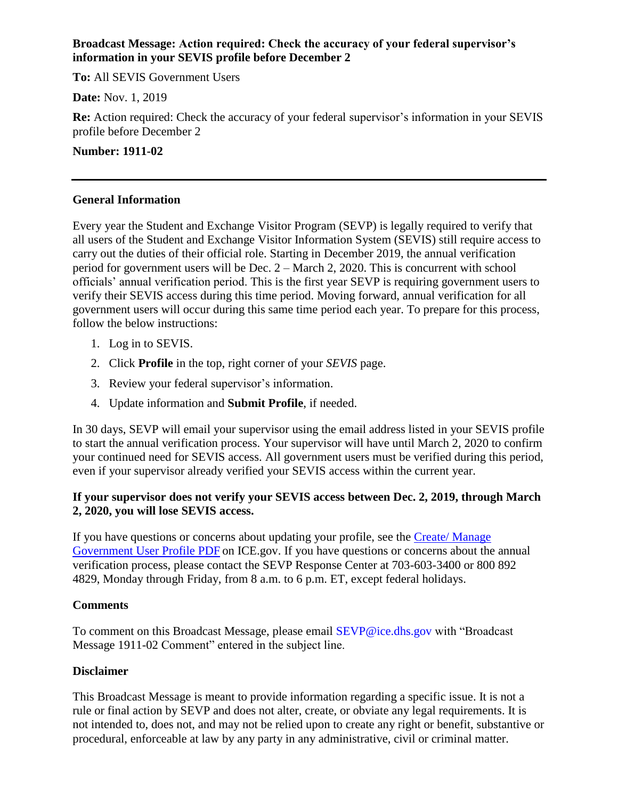## **Broadcast Message: Action required: Check the accuracy of your federal supervisor's information in your SEVIS profile before December 2**

**To:** All SEVIS Government Users

**Date:** Nov. 1, 2019

**Re:** Action required: Check the accuracy of your federal supervisor's information in your SEVIS profile before December 2

#### **Number: 1911-02**

## **General Information**

Every year the Student and Exchange Visitor Program (SEVP) is legally required to verify that all users of the Student and Exchange Visitor Information System (SEVIS) still require access to carry out the duties of their official role. Starting in December 2019, the annual verification period for government users will be Dec. 2 – March 2, 2020. This is concurrent with school officials' annual verification period. This is the first year SEVP is requiring government users to verify their SEVIS access during this time period. Moving forward, annual verification for all government users will occur during this same time period each year. To prepare for this process, follow the below instructions:

- 1. Log in to SEVIS.
- 2. Click **Profile** in the top, right corner of your *SEVIS* page.
- 3. Review your federal supervisor's information.
- 4. Update information and **Submit Profile**, if needed.

In 30 days, SEVP will email your supervisor using the email address listed in your SEVIS profile to start the annual verification process. Your supervisor will have until March 2, 2020 to confirm your continued need for SEVIS access. All government users must be verified during this period, even if your supervisor already verified your SEVIS access within the current year.

# **If your supervisor does not verify your SEVIS access between Dec. 2, 2019, through March 2, 2020, you will lose SEVIS access.**

If you have questions or concerns about updating your profile, see the [Create/ Manage](https://www.ice.gov/sites/default/files/documents/Document/2015/createManageGovUserProfile.pdf)  [Government User Profile PDF](https://www.ice.gov/sites/default/files/documents/Document/2015/createManageGovUserProfile.pdf) on ICE.gov. If you have questions or concerns about the annual verification process, please contact the SEVP Response Center at 703-603-3400 or 800 892 4829, Monday through Friday, from 8 a.m. to 6 p.m. ET, except federal holidays.

# **Comments**

To comment on this Broadcast Message, please email SEVP@ice.dhs.gov with "Broadcast Message 1911-02 Comment" entered in the subject line.

# **Disclaimer**

This Broadcast Message is meant to provide information regarding a specific issue. It is not a rule or final action by SEVP and does not alter, create, or obviate any legal requirements. It is not intended to, does not, and may not be relied upon to create any right or benefit, substantive or procedural, enforceable at law by any party in any administrative, civil or criminal matter.